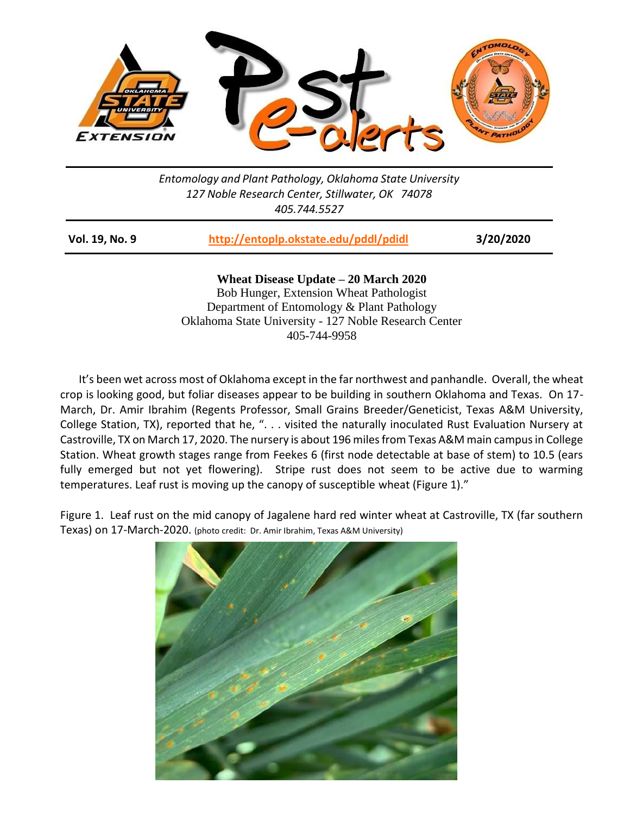

*Entomology and Plant Pathology, Oklahoma State University 127 Noble Research Center, Stillwater, OK 74078 405.744.5527*

| <b>Vol. 19, No. 9</b> | http://entoplp.okstate.edu/pddl/pdidl | 3/20/2020 |
|-----------------------|---------------------------------------|-----------|
|-----------------------|---------------------------------------|-----------|

**Wheat Disease Update – 20 March 2020** Bob Hunger, Extension Wheat Pathologist Department of Entomology & Plant Pathology Oklahoma State University - 127 Noble Research Center 405-744-9958

It's been wet across most of Oklahoma except in the far northwest and panhandle. Overall, the wheat crop is looking good, but foliar diseases appear to be building in southern Oklahoma and Texas. On 17- March, Dr. Amir Ibrahim (Regents Professor, Small Grains Breeder/Geneticist, Texas A&M University, College Station, TX), reported that he, ". . . visited the naturally inoculated Rust Evaluation Nursery at Castroville, TX on March 17, 2020. The nursery is about 196 miles from Texas A&M main campus in College Station. Wheat growth stages range from Feekes 6 (first node detectable at base of stem) to 10.5 (ears fully emerged but not yet flowering). Stripe rust does not seem to be active due to warming temperatures. Leaf rust is moving up the canopy of susceptible wheat (Figure 1)."

Figure 1. Leaf rust on the mid canopy of Jagalene hard red winter wheat at Castroville, TX (far southern Texas) on 17-March-2020. (photo credit: Dr. Amir Ibrahim, Texas A&M University)

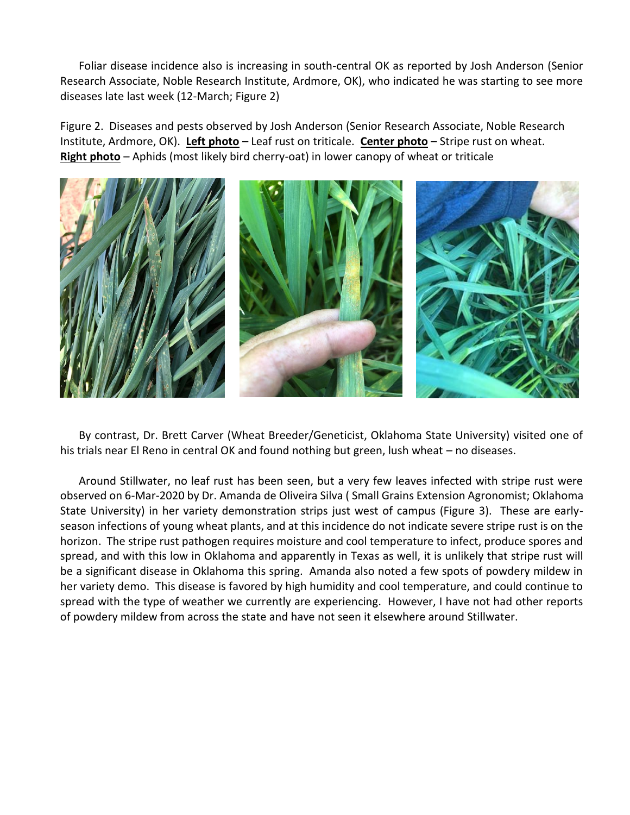Foliar disease incidence also is increasing in south-central OK as reported by Josh Anderson (Senior Research Associate, Noble Research Institute, Ardmore, OK), who indicated he was starting to see more diseases late last week (12-March; Figure 2)

Figure 2. Diseases and pests observed by Josh Anderson (Senior Research Associate, Noble Research Institute, Ardmore, OK). **Left photo** – Leaf rust on triticale. **Center photo** – Stripe rust on wheat. **Right photo** – Aphids (most likely bird cherry-oat) in lower canopy of wheat or triticale



By contrast, Dr. Brett Carver (Wheat Breeder/Geneticist, Oklahoma State University) visited one of his trials near El Reno in central OK and found nothing but green, lush wheat – no diseases.

Around Stillwater, no leaf rust has been seen, but a very few leaves infected with stripe rust were observed on 6-Mar-2020 by Dr. Amanda de Oliveira Silva ( Small Grains Extension Agronomist; Oklahoma State University) in her variety demonstration strips just west of campus (Figure 3). These are earlyseason infections of young wheat plants, and at this incidence do not indicate severe stripe rust is on the horizon. The stripe rust pathogen requires moisture and cool temperature to infect, produce spores and spread, and with this low in Oklahoma and apparently in Texas as well, it is unlikely that stripe rust will be a significant disease in Oklahoma this spring. Amanda also noted a few spots of powdery mildew in her variety demo. This disease is favored by high humidity and cool temperature, and could continue to spread with the type of weather we currently are experiencing. However, I have not had other reports of powdery mildew from across the state and have not seen it elsewhere around Stillwater.